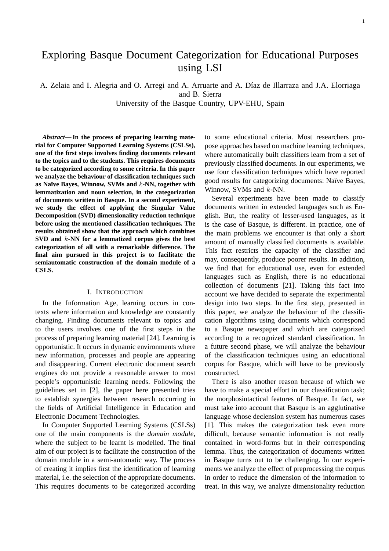# Exploring Basque Document Categorization for Educational Purposes using LSI

A. Zelaia and I. Alegria and O. Arregi and A. Arruarte and A. Díaz de Illarraza and J.A. Elorriaga and B. Sierra

University of the Basque Country, UPV-EHU, Spain

*Abstract***— In the process of preparing learning material for Computer Supported Learning Systems (CSLSs), one of the first steps involves finding documents relevant to the topics and to the students. This requires documents to be categorized according to some criteria. In this paper we analyze the behaviour of classification techniques such as Naïve Bayes, Winnow, SVMs and** k**-NN, together with lemmatization and noun selection, in the categorization of documents written in Basque. In a second experiment, we study the effect of applying the Singular Value Decomposition (SVD) dimensionality reduction technique before using the mentioned classification techniques. The results obtained show that the approach which combines SVD and** k**-NN for a lemmatized corpus gives the best categorization of all with a remarkable difference. The final aim pursued in this project is to facilitate the semiautomatic construction of the domain module of a CSLS.**

# I. INTRODUCTION

In the Information Age, learning occurs in contexts where information and knowledge are constantly changing. Finding documents relevant to topics and to the users involves one of the first steps in the process of preparing learning material [24]. Learning is opportunistic. It occurs in dynamic environments where new information, processes and people are appearing and disappearing. Current electronic document search engines do not provide a reasonable answer to most people's opportunistic learning needs. Following the guidelines set in [2], the paper here presented tries to establish synergies between research occurring in the fields of Artificial Intelligence in Education and Electronic Document Technologies.

In Computer Supported Learning Systems (CSLSs) one of the main components is the *domain module*, where the subject to be learnt is modelled. The final aim of our project is to facilitate the construction of the domain module in a semi-automatic way. The process of creating it implies first the identification of learning material, i.e. the selection of the appropriate documents. This requires documents to be categorized according

to some educational criteria. Most researchers propose approaches based on machine learning techniques, where automatically built classifiers learn from a set of previously classified documents. In our experiments, we use four classification techniques which have reported good results for categorizing documents: Naïve Bayes, Winnow, SVMs and k-NN.

Several experiments have been made to classify documents written in extended languages such as English. But, the reality of lesser-used languages, as it is the case of Basque, is different. In practice, one of the main problems we encounter is that only a short amount of manually classified documents is available. This fact restricts the capacity of the classifier and may, consequently, produce poorer results. In addition, we find that for educational use, even for extended languages such as English, there is no educational collection of documents [21]. Taking this fact into account we have decided to separate the experimental design into two steps. In the first step, presented in this paper, we analyze the behaviour of the classification algorithms using documents which correspond to a Basque newspaper and which are categorized according to a recognized standard classification. In a future second phase, we will analyze the behaviour of the classification techniques using an educational corpus for Basque, which will have to be previously constructed.

There is also another reason because of which we have to make a special effort in our classification task; the morphosintactical features of Basque. In fact, we must take into account that Basque is an agglutinative language whose declension system has numerous cases [1]. This makes the categorization task even more difficult, because semantic information is not really contained in word-forms but in their corresponding lemma. Thus, the categorization of documents written in Basque turns out to be challenging. In our experiments we analyze the effect of preprocessing the corpus in order to reduce the dimension of the information to treat. In this way, we analyze dimensionality reduction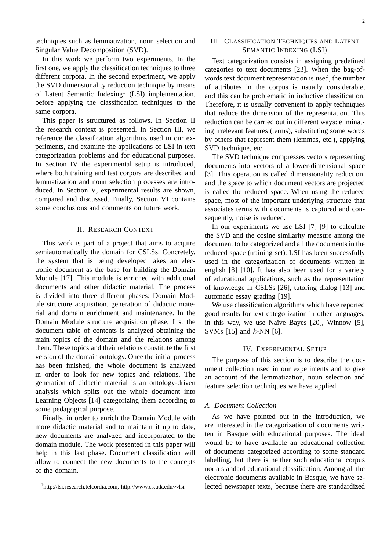techniques such as lemmatization, noun selection and Singular Value Decomposition (SVD).

In this work we perform two experiments. In the first one, we apply the classification techniques to three different corpora. In the second experiment, we apply the SVD dimensionality reduction technique by means of Latent Semantic Indexing<sup>1</sup> (LSI) implementation, before applying the classification techniques to the same corpora.

This paper is structured as follows. In Section II the research context is presented. In Section III, we reference the classification algorithms used in our experiments, and examine the applications of LSI in text categorization problems and for educational purposes. In Section IV the experimental setup is introduced, where both training and test corpora are described and lemmatization and noun selection processes are introduced. In Section V, experimental results are shown, compared and discussed. Finally, Section VI contains some conclusions and comments on future work.

## II. RESEARCH CONTEXT

This work is part of a project that aims to acquire semiautomatically the domain for CSLSs. Concretely, the system that is being developed takes an electronic document as the base for building the Domain Module [17]. This module is enriched with additional documents and other didactic material. The process is divided into three different phases: Domain Module structure acquisition, generation of didactic material and domain enrichment and maintenance. In the Domain Module structure acquisition phase, first the document table of contents is analyzed obtaining the main topics of the domain and the relations among them. These topics and their relations constitute the first version of the domain ontology. Once the initial process has been finished, the whole document is analyzed in order to look for new topics and relations. The generation of didactic material is an ontology-driven analysis which splits out the whole document into Learning Objects [14] categorizing them according to some pedagogical purpose.

Finally, in order to enrich the Domain Module with more didactic material and to maintain it up to date, new documents are analyzed and incorporated to the domain module. The work presented in this paper will help in this last phase. Document classification will allow to connect the new documents to the concepts of the domain.

# III. CLASSIFICATION TECHNIQUES AND LATENT SEMANTIC INDEXING (LSI)

Text categorization consists in assigning predefined categories to text documents [23]. When the bag-ofwords text document representation is used, the number of attributes in the corpus is usually considerable, and this can be problematic in inductive classification. Therefore, it is usually convenient to apply techniques that reduce the dimension of the representation. This reduction can be carried out in different ways: eliminating irrelevant features (terms), substituting some words by others that represent them (lemmas, etc.), applying SVD technique, etc.

The SVD technique compresses vectors representing documents into vectors of a lower-dimensional space [3]. This operation is called dimensionality reduction, and the space to which document vectors are projected is called the reduced space. When using the reduced space, most of the important underlying structure that associates terms with documents is captured and consequently, noise is reduced.

In our experiments we use LSI [7] [9] to calculate the SVD and the cosine similarity measure among the document to be categorized and all the documents in the reduced space (training set). LSI has been successfully used in the categorization of documents written in english [8] [10]. It has also been used for a variety of educational applications, such as the representation of knowledge in CSLSs [26], tutoring dialog [13] and automatic essay grading [19].

We use classification algorithms which have reported good results for text categorization in other languages; in this way, we use Naïve Bayes [20], Winnow [5], SVMs  $[15]$  and  $k$ -NN  $[6]$ .

# IV. EXPERIMENTAL SETUP

The purpose of this section is to describe the document collection used in our experiments and to give an account of the lemmatization, noun selection and feature selection techniques we have applied.

## *A. Document Collection*

As we have pointed out in the introduction, we are interested in the categorization of documents written in Basque with educational purposes. The ideal would be to have available an educational collection of documents categorized according to some standard labelling, but there is neither such educational corpus nor a standard educational classification. Among all the electronic documents available in Basque, we have selected newspaper texts, because there are standardized

<sup>1</sup> http://lsi.research.telcordia.com, http://www.cs.utk.edu/∼lsi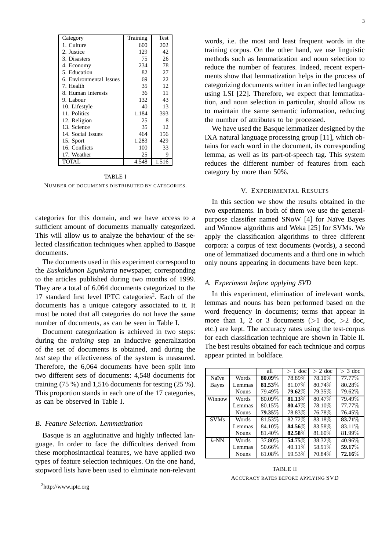| Category                | Training | Test  |
|-------------------------|----------|-------|
| 1. Culture              | 600      | 202   |
| 2. Justice              | 129      | 42    |
| 3. Disasters            | 75       | 26    |
| 4. Economy              | 234      | 78    |
| 5. Education            | 82       | 27    |
| 6. Environmental Issues | 69       | 22    |
| 7. Health               | 35       | 12    |
| 8. Human interests      | 36       | 11    |
| 9. Labour               | 132      | 43    |
| 10. Lifestyle           | 40       | 13    |
| 11. Politics            | 1.184    | 393   |
| 12. Religion            | 25       | 8     |
| 13. Science             | 35       | 12    |
| 14. Social Issues       | 464      | 156   |
| 15. Sport               | 1.283    | 429   |
| 16. Conflicts           | 100      | 33    |
| 17. Weather             | 25       | 9     |
| TOTAL                   | 4.548    | 1.516 |

TABLE I NUMBER OF DOCUMENTS DISTRIBUTED BY CATEGORIES.

categories for this domain, and we have access to a sufficient amount of documents manually categorized. This will allow us to analyze the behaviour of the selected classification techniques when applied to Basque documents.

The documents used in this experiment correspond to the *Euskaldunon Egunkaria* newspaper, corresponding to the articles published during two months of 1999. They are a total of 6.064 documents categorized to the 17 standard first level IPTC categories<sup>2</sup>. Each of the documents has a unique category associated to it. It must be noted that all categories do not have the same number of documents, as can be seen in Table I.

Document categorization is achieved in two steps: during the *training* step an inductive generalization of the set of documents is obtained, and during the *test* step the effectiveness of the system is measured. Therefore, the 6,064 documents have been split into two different sets of documents: 4,548 documents for training (75 %) and 1,516 documents for testing (25 %). This proportion stands in each one of the 17 categories, as can be observed in Table I.

## *B. Feature Selection. Lemmatization*

Basque is an agglutinative and highly inflected language. In order to face the difficulties derived from these morphosintactical features, we have applied two types of feature selection techniques. On the one hand, stopword lists have been used to eliminate non-relevant words, i.e. the most and least frequent words in the training corpus. On the other hand, we use linguistic methods such as lemmatization and noun selection to reduce the number of features. Indeed, recent experiments show that lemmatization helps in the process of categorizing documents written in an inflected language using LSI [22]. Therefore, we expect that lemmatization, and noun selection in particular, should allow us to maintain the same semantic information, reducing the number of attributes to be processed.

We have used the Basque lemmatizer designed by the IXA natural language processing group [11], which obtains for each word in the document, its corresponding lemma, as well as its part-of-speech tag. This system reduces the different number of features from each category by more than 50%.

# V. EXPERIMENTAL RESULTS

In this section we show the results obtained in the two experiments. In both of them we use the generalpurpose classifier named SNoW [4] for Naïve Bayes and Winnow algorithms and Weka [25] for SVMs. We apply the classification algorithms to three different corpora: a corpus of text documents (words), a second one of lemmatized documents and a third one in which only nouns appearing in documents have been kept.

# *A. Experiment before applying SVD*

In this experiment, elimination of irrelevant words, lemmas and nouns has been performed based on the word frequency in documents; terms that appear in more than 1, 2 or 3 documents ( $>1$  doc,  $>2$  doc, etc.) are kept. The accuracy rates using the test-corpus for each classification technique are shown in Table II. The best results obtained for each technique and corpus appear printed in boldface.

|             |              | all       | $> 1$ doc | $> 2$ doc | $>$ 3 doc |
|-------------|--------------|-----------|-----------|-----------|-----------|
| Naïve       | Words        | $80.09\%$ | 78.89%    | 78.10\%   | 77.77%    |
| Bayes       | Lemmas       | 81.53%    | 81.07%    | 80.74\%   | 80.28%    |
|             | <b>Nouns</b> | 79.49%    | 79.62%    | 79.35%    | 79.62%    |
| Winnow      | Words        | $80.09\%$ | 81.13%    | 80.47%    | 79.49%    |
|             | Lemmas       | 80.15\%   | 80.47%    | 78.10\%   | 77.77%    |
|             | <b>Nouns</b> | 79.35%    | 78.83%    | 76.78%    | 76.45\%   |
| <b>SVMs</b> | Words        | 81.53%    | 82.72%    | 83.18\%   | 83.71%    |
|             | Lemmas       | 84.10%    | 84.56%    | 83.58%    | 83.11\%   |
|             | <b>Nouns</b> | 81.40\%   | 82.58%    | 81.60%    | 81.99%    |
| $k$ -NN     | Words        | 37.80%    | 54.75%    | 38.32%    | 40.96%    |
|             | Lemmas       | 50.66\%   | 40.11\%   | 58.91%    | 59.17%    |
|             | <b>Nouns</b> | 61.08\%   | 69.53%    | 70.84\%   | 72.16%    |

TABLE II ACCURACY RATES BEFORE APPLYING SVD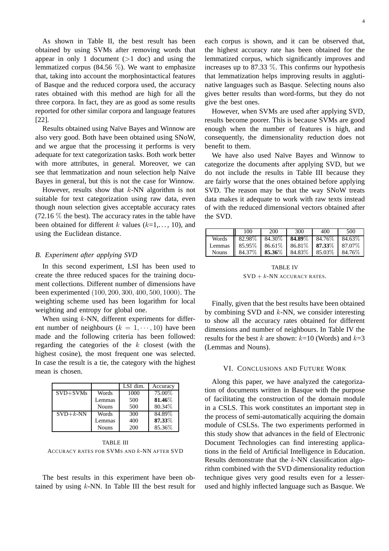As shown in Table II, the best result has been obtained by using SVMs after removing words that appear in only 1 document  $(>1$  doc) and using the lemmatized corpus (84.56  $\%$ ). We want to emphasize that, taking into account the morphosintactical features of Basque and the reduced corpora used, the accuracy rates obtained with this method are high for all the three corpora. In fact, they are as good as some results reported for other similar corpora and language features [22].

Results obtained using Naïve Bayes and Winnow are also very good. Both have been obtained using SNoW, and we argue that the processing it performs is very adequate for text categorization tasks. Both work better with more attributes, in general. Moreover, we can see that lemmatization and noun selection help Naïve Bayes in general, but this is not the case for Winnow.

However, results show that  $k$ -NN algorithm is not suitable for text categorization using raw data, even though noun selection gives acceptable accuracy rates  $(72.16\%$  the best). The accuracy rates in the table have been obtained for different k values  $(k=1,..., 10)$ , and using the Euclidean distance.

# *B. Experiment after applying SVD*

In this second experiment, LSI has been used to create the three reduced spaces for the training document collections. Different number of dimensions have been experimented (100, 200, 300, 400, 500, 1000). The weighting scheme used has been logarithm for local weighting and entropy for global one.

When using  $k$ -NN, different experiments for different number of neighbours ( $k = 1, \dots, 10$ ) have been made and the following criteria has been followed: regarding the categories of the  $k$  closest (with the highest cosine), the most frequent one was selected. In case the result is a tie, the category with the highest mean is chosen.

|              |              | LSI dim. | Accuracy |
|--------------|--------------|----------|----------|
| $SVD + SVMs$ | Words        | 1000     | 75.00%   |
|              | Lemmas       | 500      | 81.46%   |
|              | <b>Nouns</b> | 500      | 80.34%   |
| $SVD + k-NN$ | Words        | 300      | 84.89%   |
|              | Lemmas       | 400      | 87.33%   |
|              | <b>Nouns</b> | 200      | 85.36%   |

TABLE III ACCURACY RATES FOR SVMS AND k-NN AFTER SVD

The best results in this experiment have been obtained by using  $k$ -NN. In Table III the best result for each corpus is shown, and it can be observed that, the highest accuracy rate has been obtained for the lemmatized corpus, which significantly improves and increases up to 87.33  $\%$ . This confirms our hypothesis that lemmatization helps improving results in agglutinative languages such as Basque. Selecting nouns also gives better results than word-forms, but they do not give the best ones.

However, when SVMs are used after applying SVD, results become poorer. This is because SVMs are good enough when the number of features is high, and consequently, the dimensionality reduction does not benefit to them.

We have also used Naïve Bayes and Winnow to categorize the documents after applying SVD, but we do not include the results in Table III because they are fairly worse that the ones obtained before applying SVD. The reason may be that the way SNoW treats data makes it adequate to work with raw texts instead of with the reduced dimensional vectors obtained after the SVD.

| 100                                                                    | 200 | 300 | 400 | 500 |
|------------------------------------------------------------------------|-----|-----|-----|-----|
| Words   $82.98\%$   $84.30\%$   $84.89\%$   $84.76\%$   $84.63\%$      |     |     |     |     |
| Lemmas    85.95%   86.61%   86.81%   87.33%   87.07%                   |     |     |     |     |
| Nouns   $84.37\%$   <b>85.36</b> %   $84.83\%$   $85.03\%$   $84.76\%$ |     |     |     |     |

TABLE IV  $SVD + k$ -NN ACCURACY RATES.

Finally, given that the best results have been obtained by combining SVD and  $k$ -NN, we consider interesting to show all the accuracy rates obtained for different dimensions and number of neighbours. In Table IV the results for the best k are shown:  $k=10$  (Words) and  $k=3$ (Lemmas and Nouns).

## VI. CONCLUSIONS AND FUTURE WORK

Along this paper, we have analyzed the categorization of documents written in Basque with the purpose of facilitating the construction of the domain module in a CSLS. This work constitutes an important step in the process of semi-automatically acquiring the domain module of CSLSs. The two experiments performed in this study show that advances in the field of Electronic Document Technologies can find interesting applications in the field of Artificial Intelligence in Education. Results demonstrate that the k-NN classification algorithm combined with the SVD dimensionality reduction technique gives very good results even for a lesserused and highly inflected language such as Basque. We